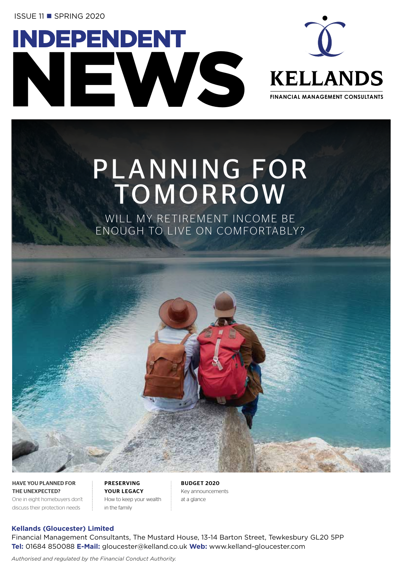**ISSUE 11 ■ SPRING 2020** 





# PLANNING FOR **TOMORROW**

WILL MY RETIREMENT INCOME BE ENOUGH TO LIVE ON COMFORTABLY?

HAVE YOU PLANNED FOR THE UNEXPECTED? One in eight homebuyers don't discuss their protection needs

PRESERVING YOUR LEGACY How to keep your wealth in the family

BUDGET 2020 Key announcements at a glance

#### **Kellands (Gloucester) Limited**

Financial Management Consultants, The Mustard House, 13-14 Barton Street, Tewkesbury GL20 5PP **Tel:** 01684 850088 **E-Mail:** gloucester@kelland.co.uk **Web:** www.kelland-gloucester.com

*Authorised and regulated by the Financial Conduct Authority.*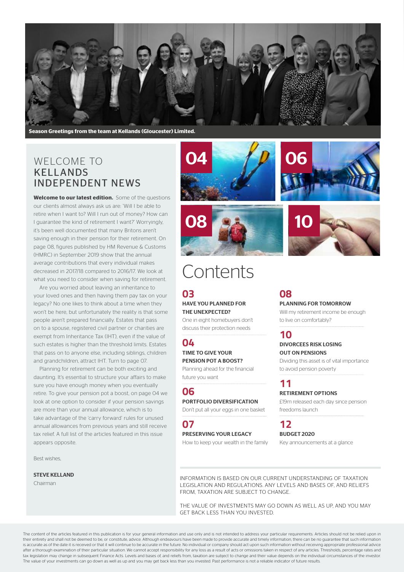

**Season Greetings from the team at Kellands (Gloucester) Limited.**

## WELCOME TO KELLANDS INDEPENDENT NEWS

**Welcome to our latest edition.** Some of the questions our clients almost always ask us are: 'Will I be able to retire when I want to? Will I run out of money? How can I guarantee the kind of retirement I want?' Worryingly, it's been well documented that many Britons aren't saving enough in their pension for their retirement. On page 08, figures published by HM Revenue & Customs (HMRC) in September 2019 show that the annual average contributions that every individual makes decreased in 2017/18 compared to 2016/17. We look at what you need to consider when saving for retirement.

Are you worried about leaving an inheritance to your loved ones and then having them pay tax on your legacy? No one likes to think about a time when they won't be here, but unfortunately the reality is that some people aren't prepared financially. Estates that pass on to a spouse, registered civil partner or charities are exempt from Inheritance Tax (IHT), even if the value of such estates is higher than the threshold limits. Estates that pass on to anyone else, including siblings, children and grandchildren, attract IHT. Turn to page 07.

Planning for retirement can be both exciting and daunting. It's essential to structure your affairs to make sure you have enough money when you eventually retire. To give your pension pot a boost, on page 04 we look at one option to consider if your pension savings are more than your annual allowance, which is to take advantage of the 'carry forward' rules for unused annual allowances from previous years and still receive tax relief. A full list of the articles featured in this issue appears opposite.

Best wishes,

#### STEVE KELLAND

Chairman







# Contents

### **03**

#### HAVE YOU PLANNED FOR THE UNEXPECTED?

One in eight homebuyers don't discuss their protection needs

### **04**

#### TIME TO GIVE YOUR PENSION POT A BOOST?

Planning ahead for the financial future you want

#### **06**

#### PORTFOLIO DIVERSIFICATION

Don't put all your eggs in one basket

### **07**

#### PRESERVING YOUR LEGACY

How to keep your wealth in the family

# **08**

#### PLANNING FOR TOMORROW

Will my retirement income be enough to live on comfortably?

### **10**

#### DIVORCEES RISK LOSING OUT ON PENSIONS

Dividing this asset is of vital importance to avoid pension poverty

## **11**

#### RETIREMENT OPTIONS

£19m released each day since pension freedoms launch

## **12**

BUDGET 2020 Key announcements at a glance

INFORMATION IS BASED ON OUR CURRENT UNDERSTANDING OF TAXATION LEGISLATION AND REGULATIONS. ANY LEVELS AND BASES OF, AND RELIEFS FROM, TAXATION ARE SUBJECT TO CHANGE.

THE VALUE OF INVESTMENTS MAY GO DOWN AS WELL AS UP, AND YOU MAY GET BACK LESS THAN YOU INVESTED.

The content of the articles featured in this publication is for your general information and use only and is not intended to address your particular requirements. Articles should not be relied upon in their entirety and shall not be deemed to be, or constitute, advice. Although endeavours have been made to provide accurate and timely information, there can be no guarantee that such information is accurate as of the date it is received or that it will continue to be accurate in the future. No individual or company should act upon such information without receiving appropriate professional advice after a thorough examination of their particular situation. We cannot accept responsibility for any loss as a result of acts or omissions taken in respect of any articles. Thresholds, percentage rates and tax legislation may change in subsequent Finance Acts. Levels and bases of, and reliefs from, taxation are subject to change and their value depends on the individual circumstances of the investor. The value of your investments can go down as well as up and you may get back less than you invested. Past performance is not a reliable indicator of future results.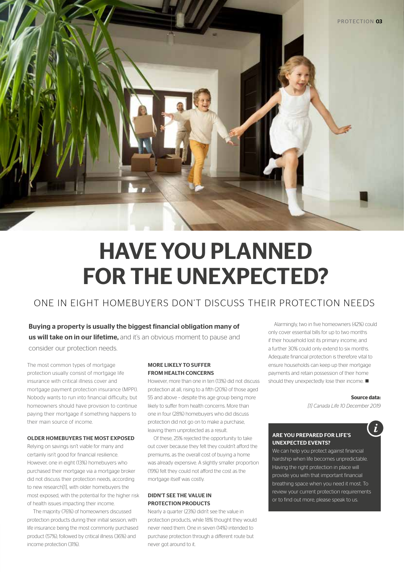

# HAVE YOU PLANNED FOR THE UNEXPECTED?

# ONE IN EIGHT HOMEBUYERS DON'T DISCUSS THEIR PROTECTION NEEDS

Buying a property is usually the biggest financial obligation many of us will take on in our lifetime, and it's an obvious moment to pause and consider our protection needs.

The most common types of mortgage protection usually consist of mortgage life insurance with critical illness cover and mortgage payment protection insurance (MPPI). Nobody wants to run into financial difficulty, but homeowners should have provision to continue paying their mortgage if something happens to their main source of income.

#### OLDER HOMEBUYERS THE MOST EXPOSED

Relying on savings isn't viable for many and certainly isn't good for financial resilience. However, one in eight (13%) homebuyers who purchased their mortgage via a mortgage broker did not discuss their protection needs, according to new research[1], with older homebuyers the most exposed, with the potential for the higher risk of health issues impacting their income.

The majority (76%) of homeowners discussed protection products during their initial session, with life insurance being the most commonly purchased product (57%), followed by critical illness (36%) and income protection (31%).

#### MORE LIKELY TO SUFFER FROM HEALTH CONCERNS

However, more than one in ten (13%) did not discuss protection at all, rising to a fifth (20%) of those aged 55 and above – despite this age group being more likely to suffer from health concerns. More than one in four (28%) homebuyers who did discuss protection did not go on to make a purchase, leaving them unprotected as a result.

Of these, 25% rejected the opportunity to take out cover because they felt they couldn't afford the premiums, as the overall cost of buying a home was already expensive. A slightly smaller proportion (19%) felt they could not afford the cost as the mortgage itself was costly.

#### DIDN'T SEE THE VALUE IN PROTECTION PRODUCTS

Nearly a quarter (23%) didn't see the value in protection products, while 18% thought they would never need them. One in seven (14%) intended to purchase protection through a different route but never got around to it.

Alarmingly, two in five homeowners (42%) could only cover essential bills for up to two months if their household lost its primary income, and a further 30% could only extend to six months. Adequate financial protection is therefore vital to ensure households can keep up their mortgage payments and retain possession of their home should they unexpectedly lose their income.  $\blacksquare$ 

#### **Source data:**

*[1] Canada Life 10 December 2019*

#### ARE YOU PREPARED FOR LIFE'S UNEXPECTED EVENTS?

We can help you protect against financial hardship when life becomes unpredictable. Having the right protection in place will provide you with that important financial breathing space when you need it most. To review your current protection requirements or to find out more, please speak to us.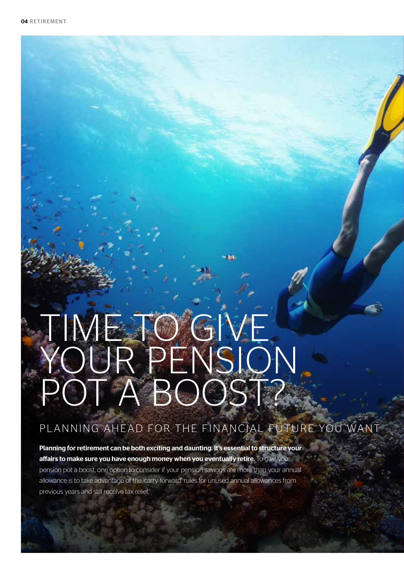# TIME TO GIVE YOUR PENSION POT A BOOST?

# PLANNING AHEAD FOR THE FINANCIAL FUTURE YOU WANT

Planning for retirement can be both exciting and daunting. It's essential to structure your affairs to make sure you have enough money when you eventually retire. To give your pension pot a boost, one option to consider if your pension savings are more than your annual allowance is to take advantage of the 'carry forward' rules for unused annual allowances from previous years and still receive tax relief.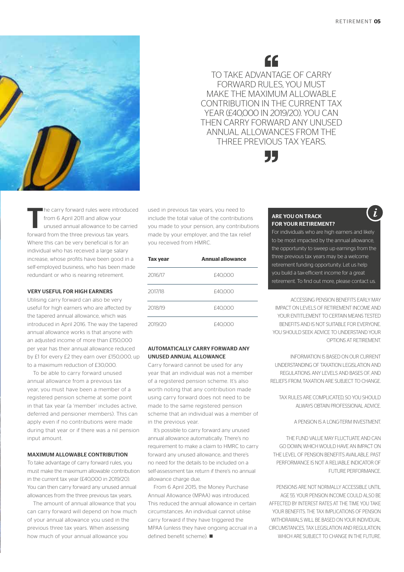Ĭ



 $AC$ TO TAKE ADVANTAGE OF CARRY FORWARD RULES, YOU MUST MAKE THE MAXIMUM ALLOWABLE CONTRIBUTION IN THE CURRENT TAX YEAR (£40,000 IN 2019/20). YOU CAN THEN CARRY FORWARD ANY UNUSED ANNUAL ALLOWANCES FROM THE THREE PREVIOUS TAX YEARS.



The carry forward rules were introduced<br>
from 6 April 2011 and allow your<br>
unused annual allowance to be carried<br>
forward from the three gravitation to users from 6 April 2011 and allow your forward from the three previous tax years. Where this can be very beneficial is for an individual who has received a large salary increase, whose profits have been good in a self-employed business, who has been made redundant or who is nearing retirement.

#### VERY USEFUL FOR HIGH EARNERS

Utilising carry forward can also be very useful for high earners who are affected by the tapered annual allowance, which was introduced in April 2016. The way the tapered annual allowance works is that anyone with an adjusted income of more than £150,000 per year has their annual allowance reduced by £1 for every £2 they earn over £150,000, up to a maximum reduction of £30,000.

To be able to carry forward unused annual allowance from a previous tax year, you must have been a member of a registered pension scheme at some point in that tax year (a 'member' includes active, deferred and pensioner members). This can apply even if no contributions were made during that year or if there was a nil pension input amount.

#### MAXIMUM ALLOWABLE CONTRIBUTION

To take advantage of carry forward rules, you must make the maximum allowable contribution in the current tax year (£40,000 in 2019/20). You can then carry forward any unused annual allowances from the three previous tax years.

The amount of annual allowance that you can carry forward will depend on how much of your annual allowance you used in the previous three tax years. When assessing how much of your annual allowance you

used in previous tax years, you need to include the total value of the contributions you made to your pension, any contributions made by your employer, and the tax relief you received from HMRC.

| <b>Tax year</b> | <b>Annual allowance</b> |
|-----------------|-------------------------|
| 2016/17         | £40,000                 |
| 2017/18         | £40,000                 |
| 2018/19         | £40,000                 |
| 2019/20         | £40.000                 |

#### AUTOMATICALLY CARRY FORWARD ANY UNUSED ANNUAL ALLOWANCE

Carry forward cannot be used for any year that an individual was not a member of a registered pension scheme. It's also worth noting that any contribution made using carry forward does not need to be made to the same registered pension scheme that an individual was a member of in the previous year.

It's possible to carry forward any unused annual allowance automatically. There's no requirement to make a claim to HMRC to carry forward any unused allowance, and there's no need for the details to be included on a self-assessment tax return if there's no annual allowance charge due.

From 6 April 2015, the Money Purchase Annual Allowance (MPAA) was introduced. This reduced the annual allowance in certain circumstances. An individual cannot utilise carry forward if they have triggered the MPAA (unless they have ongoing accrual in a defined benefit scheme).  $\blacksquare$ 

#### ARE YOU ON TRACK FOR YOUR RETIREMENT?

For individuals who are high earners and likely to be most impacted by the annual allowance, the opportunity to sweep up earnings from the three previous tax years may be a welcome retirement funding opportunity. Let us help you build a tax-efficient income for a great retirement. To find out more, please contact us.

ACCESSING PENSION BENEFITS EARLY MAY IMPACT ON LEVELS OF RETIREMENT INCOME AND YOUR ENTITLEMENT TO CERTAIN MEANS TESTED BENEFITS AND IS NOT SUITABLE FOR EVERYONE. YOU SHOULD SEEK ADVICE TO UNDERSTAND YOUR OPTIONS AT RETIREMENT.

INFORMATION IS BASED ON OUR CURRENT UNDERSTANDING OF TAXATION LEGISLATION AND REGULATIONS. ANY LEVELS AND BASES OF, AND RELIEFS FROM, TAXATION ARE SUBJECT TO CHANGE.

TAX RULES ARE COMPLICATED, SO YOU SHOULD ALWAYS OBTAIN PROFESSIONAL ADVICE.

A PENSION IS A LONG-TERM INVESTMENT.

THE FUND VALUE MAY FLUCTUATE AND CAN GO DOWN, WHICH WOULD HAVE AN IMPACT ON THE LEVEL OF PENSION BENEFITS AVAILABLE PAST PERFORMANCE IS NOT A RELIABLE INDICATOR OF FUTURE PERFORMANCE.

PENSIONS ARE NOT NORMALLY ACCESSIBLE UNTIL AGE 55. YOUR PENSION INCOME COULD ALSO BE AFFECTED BY INTEREST RATES AT THE TIME YOU TAKE YOUR BENEFITS. THE TAX IMPLICATIONS OF PENSION WITHDRAWALS WILL BE BASED ON YOUR INDIVIDUAL CIRCUMSTANCES, TAX LEGISLATION AND REGULATION, WHICH ARE SUBJECT TO CHANGE IN THE FUTURE.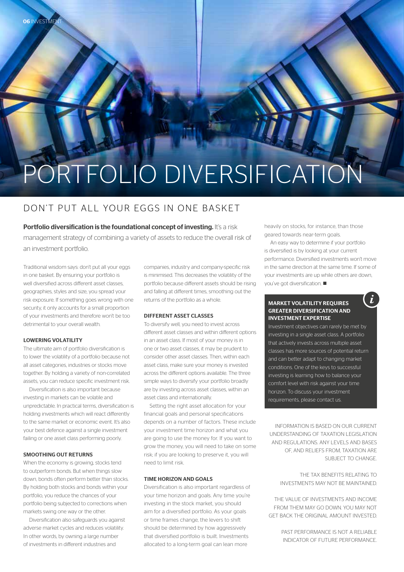# ORTFOLIO DIVERSIFICATION

### DON'T PUT ALL YOUR EGGS IN ONE BASKET

Portfolio diversification is the foundational concept of investing. It's a risk management strategy of combining a variety of assets to reduce the overall risk of an investment portfolio.

Traditional wisdom says: don't put all your eggs in one basket. By ensuring your portfolio is well diversified across different asset classes, geographies, styles and size, you spread your risk exposure. If something goes wrong with one security, it only accounts for a small proportion of your investments and therefore won't be too detrimental to your overall wealth.

#### LOWERING VOLATILITY

06 INVESTMENT

The ultimate aim of portfolio diversification is to lower the volatility of a portfolio because not all asset categories, industries or stocks move together. By holding a variety of non-correlated assets, you can reduce specific investment risk.

Diversification is also important because investing in markets can be volatile and unpredictable. In practical terms, diversification is holding investments which will react differently to the same market or economic event. It's also your best defence against a single investment failing or one asset class performing poorly.

#### SMOOTHING OUT RETURNS

When the economy is growing, stocks tend to outperform bonds. But when things slow down, bonds often perform better than stocks. By holding both stocks and bonds within your portfolio, you reduce the chances of your portfolio being subjected to corrections when markets swing one way or the other.

Diversification also safeguards you against adverse market cycles and reduces volatility. In other words, by owning a large number of investments in different industries and

companies, industry and company-specific risk is minimised. This decreases the volatility of the portfolio because different assets should be rising and falling at different times, smoothing out the returns of the portfolio as a whole.

#### DIFFERENT ASSET CLASSES

To diversify well, you need to invest across different asset classes and within different options in an asset class. If most of your money is in one or two asset classes, it may be prudent to consider other asset classes. Then, within each asset class, make sure your money is invested across the different options available. The three simple ways to diversify your portfolio broadly are by investing across asset classes, within an asset class and internationally.

Setting the right asset allocation for your financial goals and personal specifications depends on a number of factors. These include your investment time horizon and what you are going to use the money for. If you want to grow the money, you will need to take on some risk; if you are looking to preserve it, you will need to limit risk.

#### TIME HORIZON AND GOALS

Diversification is also important regardless of your time horizon and goals. Any time you're investing in the stock market, you should aim for a diversified portfolio. As your goals or time frames change, the levers to shift should be determined by how aggressively that diversified portfolio is built. Investments allocated to a long-term goal can lean more

heavily on stocks, for instance, than those geared towards near-term goals.

An easy way to determine if your portfolio is diversified is by looking at your current performance. Diversified investments won't move in the same direction at the same time. If some of your investments are up while others are down, you've got diversification.  $\blacksquare$ 

 $\tilde{l}$ 

#### MARKET VOLATILITY REQUIRES GREATER DIVERSIFICATION AND INVESTMENT EXPERTISE

Investment objectives can rarely be met by investing in a single asset class. A portfolio that actively invests across multiple asset classes has more sources of potential return and can better adapt to changing market conditions. One of the keys to successful investing is learning how to balance your comfort level with risk against your time horizon. To discuss your investment requirements, please contact us.

INFORMATION IS BASED ON OUR CURRENT UNDERSTANDING OF TAXATION LEGISLATION AND REGULATIONS. ANY LEVELS AND BASES OF, AND RELIEFS FROM, TAXATION ARE SUBJECT TO CHANGE.

> THE TAX BENEFITS RELATING TO INVESTMENTS MAY NOT BE MAINTAINED.

THE VALUE OF INVESTMENTS AND INCOME FROM THEM MAY GO DOWN. YOU MAY NOT GET BACK THE ORIGINAL AMOUNT INVESTED.

> PAST PERFORMANCE IS NOT A RELIABLE INDICATOR OF FUTURE PERFORMANCE.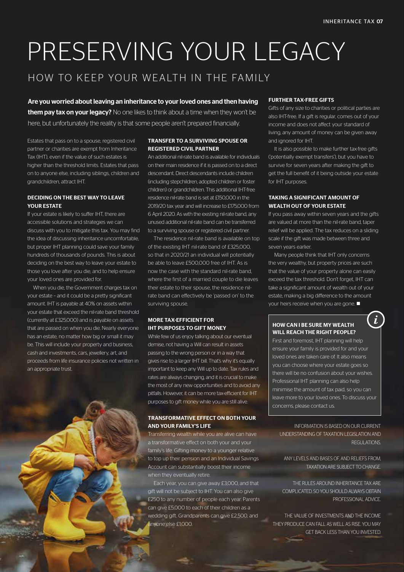# PRESERVING YOUR LEGACY

# HOW TO KEEP YOUR WEALTH IN THE FAMILY

Are you worried about leaving an inheritance to your loved ones and then having them pay tax on your legacy? No one likes to think about a time when they won't be here, but unfortunately the reality is that some people aren't prepared financially.

Estates that pass on to a spouse, registered civil partner or charities are exempt from Inheritance Tax (IHT), even if the value of such estates is higher than the threshold limits. Estates that pass on to anyone else, including siblings, children and grandchildren, attract IHT.

#### DECIDING ON THE BEST WAY TO LEAVE YOUR ESTATE

If your estate is likely to suffer IHT, there are accessible solutions and strategies we can discuss with you to mitigate this tax. You may find the idea of discussing inheritance uncomfortable, but proper IHT planning could save your family hundreds of thousands of pounds. This is about deciding on the best way to leave your estate to those you love after you die, and to help ensure your loved ones are provided for.

When you die, the Government charges tax on your estate – and it could be a pretty significant amount. IHT is payable at 40% on assets within your estate that exceed the nil-rate band threshold (currently at £325,000) and is payable on assets that are passed on when you die. Nearly everyone has an estate, no matter how big or small it may be. This will include your property and business, cash and investments, cars, jewellery, art, and proceeds from life insurance policies not written in an appropriate trust.

#### TRANSFER TO A SURVIVING SPOUSE OR REGISTERED CIVIL PARTNER

An additional nil-rate band is available for individuals on their main residence if it is passed on to a direct descendant. Direct descendants include children (including stepchildren, adopted children or foster children) or grandchildren. This additional IHT-free residence nil-rate band is set at £150,000 in the 2019/20 tax year and will increase to £175,000 from 6 April 2020. As with the existing nil-rate band, any unused additional nil-rate band can be transferred to a surviving spouse or registered civil partner.

The residence nil-rate band is available on top of the existing IHT nil-rate band of £325,000, so that in 2020/21 an individual will potentially be able to leave £500,000 free of IHT. As is now the case with the standard nil-rate band, where the first of a married couple to die leaves their estate to their spouse, the residence nilrate band can effectively be 'passed on' to the surviving spouse.

#### MORE TAX-EFFICIENT FOR IHT PURPOSES TO GIFT MONEY

While few of us enjoy talking about our eventual demise, not having a Will can result in assets passing to the wrong person or in a way that gives rise to a larger IHT bill. That's why it's equally important to keep any Will up to date. Tax rules and rates are always changing, and it is crucial to make the most of any new opportunities and to avoid any pitfalls. However, it can be more tax-efficient for IHT purposes to gift money while you are still alive.

#### TRANSFORMATIVE EFFECT ON BOTH YOUR AND YOUR FAMILY'S LIFE

Transferring wealth while you are alive can have a transformative effect on both your and your family's life. Gifting money to a younger relative to top up their pension and an Individual Savings Account can substantially boost their income when they eventually retire.

Each year, you can give away £3,000, and that gift will not be subject to IHT. You can also give £250 to any number of people each year. Parents can give £5,000 to each of their children as a wedding gift. Grandparents can give £2,500, and anyone else £1,000.

#### FURTHER TAX-FREE GIFTS

Gifts of any size to charities or political parties are also IHT-free. If a gift is regular, comes out of your income and does not affect your standard of living, any amount of money can be given away and ignored for IHT.

It is also possible to make further tax-free gifts ('potentially exempt transfers'), but you have to survive for seven years after making the gift to get the full benefit of it being outside your estate for IHT purposes.

#### TAKING A SIGNIFICANT AMOUNT OF WEALTH OUT OF YOUR ESTATE

If you pass away within seven years and the gifts are valued at more than the nil-rate band, taper relief will be applied. The tax reduces on a sliding scale if the gift was made between three and seven years earlier.

Many people think that IHT only concerns the very wealthy, but property prices are such that the value of your property alone can easily exceed the tax threshold. Don't forget, IHT can take a significant amount of wealth out of your estate, making a big difference to the amount your heirs receive when you are gone.  $\blacksquare$ 

 $\boldsymbol{i}$ 

#### HOW CAN I BE SURE MY WEALTH WILL REACH THE RIGHT PEOPLE?

First and foremost, IHT planning will help ensure your family is provided for and your loved ones are taken care of. It also means you can choose where your estate goes so there will be no confusion about your wishes. Professional IHT planning can also help minimise the amount of tax paid, so you can leave more to your loved ones. To discuss your concerns, please contact us.

INFORMATION IS BASED ON OUR CURRENT UNDERSTANDING OF TAXATION LEGISLATION AND REGULATIONS.

ANY LEVELS AND BASES OF, AND RELIEFS FROM TAXATION ARE SUBJECT TO CHANGE.

THE RULES AROUND INHERITANCE TAX ARE COMPLICATED, SO YOU SHOULD ALWAYS OBTAIN PROFESSIONAL ADVICE.

THE VALUE OF INVESTMENTS AND THE INCOME THEY PRODUCE CAN FALL AS WELL AS RISE. YOU MAY GET BACK LESS THAN YOU INVESTED.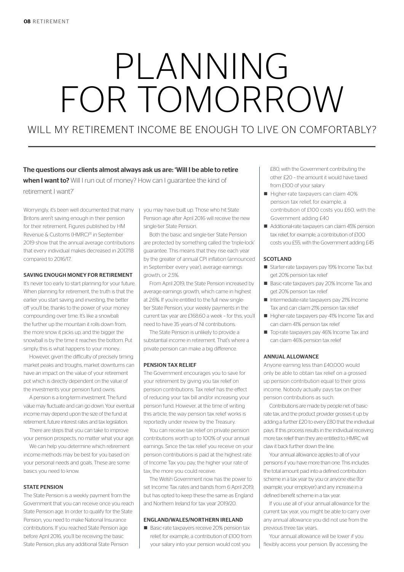# PLANNING FOR TOMORROW

# WILL MY RETIREMENT INCOME BE ENOUGH TO LIVE ON COMEORTABLY?

### The questions our clients almost always ask us are: 'Will I be able to retire when I want to? Will I run out of money? How can I quarantee the kind of retirement I want?'

Worryingly, it's been well documented that many Britons aren't saving enough in their pension for their retirement. Figures published by HM Revenue & Customs (HMRC)<sup>[1]</sup> in September 2019 show that the annual average contributions that every individual makes decreased in 2017/18 compared to 2016/17.

#### SAVING ENOUGH MONEY FOR RETIREMENT

It's never too early to start planning for your future. When planning for retirement, the truth is that the earlier you start saving and investing, the better off you'll be, thanks to the power of your money compounding over time. It's like a snowball: the further up the mountain it rolls down from, the more snow it picks up, and the bigger the snowball is by the time it reaches the bottom. Put simply, this is what happens to your money.

However, given the difficulty of precisely timing market peaks and troughs, market downturns can have an impact on the value of your retirement pot which is directly dependent on the value of the investments your pension fund owns.

A pension is a long-term investment. The fund value may fluctuate and can go down. Your eventual income may depend upon the size of the fund at retirement, future interest rates and tax legislation.

There are steps that you can take to improve your pension prospects, no matter what your age.

We can help you determine which retirement income methods may be best for you based on your personal needs and goals. These are some basics you need to know.

#### STATE PENSION

The State Pension is a weekly payment from the Government that you can receive once you reach State Pension age. In order to qualify for the State Pension, you need to make National Insurance contributions. If you reached State Pension age before April 2016, you'll be receiving the basic State Pension, plus any additional State Pension

you may have built up. Those who hit State Pension age after April 2016 will receive the new single-tier State Pension.

Both the basic and single-tier State Pension are protected by something called the 'triple-lock' guarantee. This means that they rise each year by the greater of annual CPI inflation (announced in September every year), average earnings growth, or 2.5%

From April 2019, the State Pension increased by average earnings growth, which came in highest at 2.6%. If you're entitled to the full new singletier State Pension, your weekly payments in the current tax year are £168.60 a week – for this, you'll need to have 35 years of NI contributions.

The State Pension is unlikely to provide a substantial income in retirement. That's where a private pension can make a big difference.

#### PENSION TAX RELIEF

The Government encourages you to save for your retirement by giving you tax relief on pension contributions. Tax relief has the effect of reducing your tax bill and/or increasing your pension fund. However, at the time of writing this article, the way pension tax relief works is reportedly under review by the Treasury.

You can receive tax relief on private pension contributions worth up to 100% of your annual earnings. Since the tax relief you receive on your pension contributions is paid at the highest rate of Income Tax you pay, the higher your rate of tax, the more you could receive.

The Welsh Government now has the power to set Income Tax rates and bands from 6 April 2019, but has opted to keep these the same as England and Northern Ireland for tax year 2019/20.

#### ENGLAND/WALES/NORTHERN IRELAND

■ Basic-rate taxpayers receive 20% pension tax relief, for example, a contribution of £100 from your salary into your pension would cost you

£80, with the Government contributing the other £20 – the amount it would have taxed from £100 of your salary

- Higher-rate taxpayers can claim 40% pension tax relief, for example, a contribution of £100 costs you £60, with the Government adding £40
- Additional-rate taxpayers can claim 45% pension tax relief, for example, a contribution of £100 costs you £55, with the Government adding £45

#### SCOTLAND

- Starter-rate taxpayers pay 19% Income Tax but get 20% pension tax relief
- Basic-rate taxpayers pay 20% Income Tax and get 20% pension tax relief
- Intermediate-rate taxpayers pay 21% Income Tax and can claim 21% pension tax relief
- n Higher-rate taxpayers pay 41% Income Tax and can claim 41% pension tax relief
- Top-rate taxpayers pay 46% Income Tax and can claim 46% pension tax relief

#### ANNUAL ALLOWANCE

Anyone earning less than £40,000 would only be able to obtain tax relief on a grossed up pension contribution equal to their gross income. Nobody actually pays tax on their pension contributions as such.

Contributions are made by people net of basicrate tax, and the product provider grosses it up by adding a further £20 to every £80 that the individual pays. If this process results in the individual receiving more tax relief than they are entitled to, HMRC will claw it back further down the line.

Your annual allowance applies to all of your pensions if you have more than one. This includes the total amount paid into a defined contribution scheme in a tax year by you or anyone else (for example, your employer) and any increase in a defined benefit scheme in a tax year.

If you use all of your annual allowance for the current tax year, you might be able to carry over any annual allowance you did not use from the previous three tax years.

Your annual allowance will be lower if you flexibly access your pension. By accessing the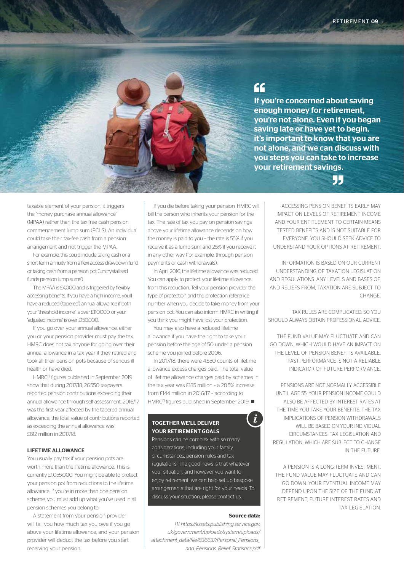

# $\epsilon$

If you're concerned about saving enough money for retirement, you're not alone. Even if you began saving late or have yet to begin, it's important to know that you are not alone, and we can discuss with you steps you can take to increase your retirement savings.



taxable element of your pension, it triggers the 'money purchase annual allowance' (MPAA) rather than the tax-free cash pension commencement lump sum (PCLS). An individual could take their tax-fee cash from a pension arrangement and not trigger the MPAA.

For example, this could include taking cash or a short-term annuity from a flexi-access drawdown fund or taking cash from a pension pot ('uncrystallised funds pension lump sums').

The MPAA is £4,000 and is triggered by flexibly accessing benefits. If you have a high income, you'll have a reduced ('tapered') annual allowance if both your 'threshold income' is over £110,000, or your 'adjusted income' is over £150,000.

If you go over your annual allowance, either you or your pension provider must pay the tax. HMRC does not tax anyone for going over their annual allowance in a tax year if they retired and took all their pension pots because of serious ill health or have died.

HMRC[1] figures published in September 2019 show that during 2017/18, 26,550 taxpayers reported pension contributions exceeding their annual allowance through self-assessment. 2016/17 was the first year affected by the tapered annual allowance; the total value of contributions reported as exceeding the annual allowance was £812 million in 2017/18.

#### LIFETIME ALLOWANCE

You usually pay tax if your pension pots are worth more than the lifetime allowance. This is currently £1,055,000. You might be able to protect your pension pot from reductions to the lifetime allowance. If you're in more than one pension scheme, you must add up what you've used in all pension schemes you belong to.

A statement from your pension provider will tell you how much tax you owe if you go above your lifetime allowance, and your pension provider will deduct the tax before you start receiving your pension.

If you die before taking your pension, HMRC will bill the person who inherits your pension for the tax. The rate of tax you pay on pension savings above your lifetime allowance depends on how the money is paid to you – the rate is 55% if you receive it as a lump sum and 25% if you receive it in any other way (for example, through pension payments or cash withdrawals).

In April 2016, the lifetime allowance was reduced. You can apply to protect your lifetime allowance from this reduction. Tell your pension provider the type of protection and the protection reference number when you decide to take money from your pension pot. You can also inform HMRC in writing if you think you might have lost your protection.

You may also have a reduced lifetime allowance if you have the right to take your pension before the age of 50 under a pension scheme you joined before 2006.

In 2017/18, there were 4,550 counts of lifetime allowance excess charges paid. The total value of lifetime allowance charges paid by schemes in the tax year was £185 million – a 28.5% increase from £144 million in 2016/17 – according to HMRC<sup>[1]</sup> figures published in September 2019. ■

#### TOGETHER WE'LL DELIVER YOUR RETIREMENT GOALS

Pensions can be complex with so many considerations, including your family circumstances, pension rules and tax regulations. The good news is that whatever your situation, and however you want to enjoy retirement, we can help set up bespoke arrangements that are right for your needs. To discuss your situation, please contact us.

#### **Source data:**

i.

*[1] https://assets.publishing.service.gov. uk/government/uploads/system/uploads/ attachment\_data/file/836637/Personal\_Pensions\_ and\_Pensions\_Relief\_Statistics.pdf*

ACCESSING PENSION BENEFITS EARLY MAY IMPACT ON LEVELS OF RETIREMENT INCOME AND YOUR ENTITLEMENT TO CERTAIN MEANS TESTED BENEFITS AND IS NOT SUITABLE FOR EVERYONE. YOU SHOULD SEEK ADVICE TO UNDERSTAND YOUR OPTIONS AT RETIREMENT.

INFORMATION IS BASED ON OUR CURRENT UNDERSTANDING OF TAXATION LEGISLATION AND REGULATIONS. ANY LEVELS AND BASES OF, AND RELIEFS FROM, TAXATION ARE SUBJECT TO CHANGE.

TAX RULES ARE COMPLICATED, SO YOU SHOULD ALWAYS OBTAIN PROFESSIONAL ADVICE.

THE FUND VALUE MAY FLUCTUATE AND CAN GO DOWN, WHICH WOULD HAVE AN IMPACT ON THE LEVEL OF PENSION BENEFITS AVAILABLE. PAST PERFORMANCE IS NOT A RELIABLE INDICATOR OF FUTURE PERFORMANCE.

PENSIONS ARE NOT NORMALLY ACCESSIBLE UNTIL AGE 55. YOUR PENSION INCOME COULD ALSO BE AFFECTED BY INTEREST RATES AT THE TIME YOU TAKE YOUR BENEFITS. THE TAX IMPLICATIONS OF PENSION WITHDRAWALS WILL BE BASED ON YOUR INDIVIDUAL CIRCUMSTANCES, TAX LEGISLATION AND REGULATION, WHICH ARE SUBJECT TO CHANGE IN THE FUTURE.

A PENSION IS A LONG-TERM INVESTMENT. THE FUND VALUE MAY FLUCTUATE AND CAN GO DOWN. YOUR EVENTUAL INCOME MAY DEPEND UPON THE SIZE OF THE FUND AT RETIREMENT, FUTURE INTEREST RATES AND TAX LEGISLATION.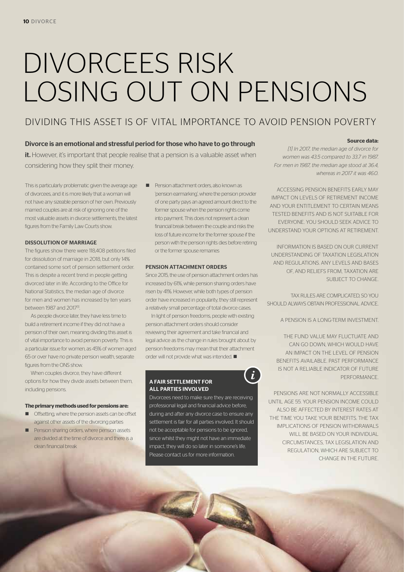# DIVORCEES RISK LOSING OUT ON PENSIONS

# DIVIDING THIS ASSET IS OF VITAL IMPORTANCE TO AVOID PENSION POVERTY

#### Divorce is an emotional and stressful period for those who have to go through

it. However, it's important that people realise that a pension is a valuable asset when considering how they split their money.

This is particularly problematic given the average age of divorcees, and it is more likely that a woman will not have any sizeable pension of her own. Previously married couples are at risk of ignoring one of the most valuable assets in divorce settlements, the latest figures from the Family Law Courts show.

#### DISSOLUTION OF MARRIAGE

The figures show there were 118,408 petitions filed for dissolution of marriage in 2018, but only 14% contained some sort of pension settlement order. This is despite a recent trend in people getting divorced later in life. According to the Office for National Statistics, the median age of divorce for men and women has increased by ten years between 1987 and 2017<sup>[1]</sup>

As people divorce later, they have less time to build a retirement income if they did not have a pension of their own, meaning dividing this asset is of vital importance to avoid pension poverty. This is a particular issue for women, as 45% of women aged 65 or over have no private pension wealth, separate figures from the ONS show.

When couples divorce, they have different options for how they divide assets between them, including pensions.

#### **The primary methods used for pensions are:**

- $\blacksquare$  Offsetting, where the pension assets can be offset against other assets of the divorcing parties
- **n** Pension sharing orders, where pension assets are divided at the time of divorce and there is a clean financial break

■ Pension attachment orders, also known as 'pension earmarking', where the pension provider of one party pays an agreed amount direct to the former spouse when the pension rights come into payment. This does not represent a clean financial break between the couple and risks the loss of future income for the former spouse if the person with the pension rights dies before retiring or the former spouse remarries

#### PENSION ATTACHMENT ORDERS

Since 2015, the use of pension attachment orders has increased by 61%, while pension sharing orders have risen by 41%. However, while both types of pension order have increased in popularity, they still represent a relatively small percentage of total divorce cases.

In light of pension freedoms, people with existing pension attachment orders should consider reviewing their agreement and take financial and legal advice as the change in rules brought about by pension freedoms may mean that their attachment order will not provide what was intended.  $\blacksquare$ 

 $\dot{i}$ 

#### A FAIR SETTLEMENT FOR ALL PARTIES INVOLVED

Divorcees need to make sure they are receiving professional legal and financial advice before, during and after any divorce case to ensure any settlement is fair for all parties involved. It should not be acceptable for pensions to be ignored, since whilst they might not have an immediate impact, they will do so later in someone's life. Please contact us for more information.

#### **Source data:**

*[1] In 2017, the median age of divorce for women was 43.5 compared to 33.7 in 1987. For men in 1987, the median age stood at 36.4, whereas in 2017 it was 46.0.*

ACCESSING PENSION BENEFITS EARLY MAY IMPACT ON LEVELS OF RETIREMENT INCOME AND YOUR ENTITLEMENT TO CERTAIN MEANS TESTED BENEFITS AND IS NOT SUITABLE FOR EVERYONE. YOU SHOULD SEEK ADVICE TO UNDERSTAND YOUR OPTIONS AT RETIREMENT.

INFORMATION IS BASED ON OUR CURRENT UNDERSTANDING OF TAXATION LEGISLATION AND REGULATIONS. ANY LEVELS AND BASES OF, AND RELIEFS FROM, TAXATION ARE SUBJECT TO CHANGE.

TAX RULES ARE COMPLICATED, SO YOU SHOULD ALWAYS OBTAIN PROFESSIONAL ADVICE.

A PENSION IS A LONG-TERM INVESTMENT.

THE FUND VALUE MAY FLUCTUATE AND CAN GO DOWN, WHICH WOULD HAVE AN IMPACT ON THE LEVEL OF PENSION BENEFITS AVAILABLE. PAST PERFORMANCE IS NOT A RELIABLE INDICATOR OF FUTURE PERFORMANCE.

PENSIONS ARE NOT NORMALLY ACCESSIBLE UNTIL AGE 55. YOUR PENSION INCOME COULD ALSO BE AFFECTED BY INTEREST RATES AT THE TIME YOU TAKE YOUR BENEFITS. THE TAX IMPLICATIONS OF PENSION WITHDRAWALS WILL BE BASED ON YOUR INDIVIDUAL CIRCUMSTANCES, TAX LEGISLATION AND REGULATION, WHICH ARE SUBJECT TO CHANGE IN THE FUTURE.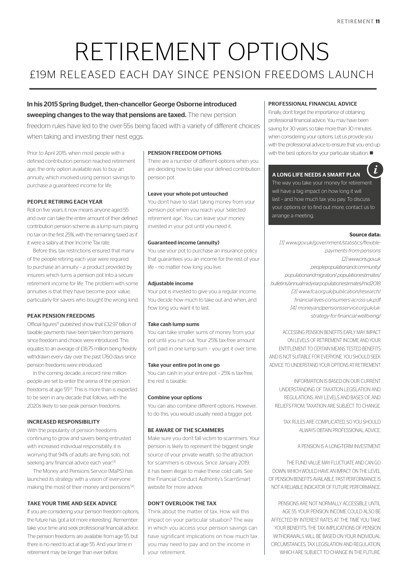# RETIREMENT OPTIONS £19M RELEASED EACH DAY SINCE PENSION FREEDOMS LAUNCH

### In his 2015 Spring Budget, then-chancellor George Osborne introduced sweeping changes to the way that pensions are taxed. The new pension

freedom rules have led to the over-55s being faced with a variety of different choices when taking and investing their nest eggs.

Prior to April 2015, when most people with a defined contribution pension reached retirement age, the only option available was to buy an annuity, which involved using pension savings to purchase a guaranteed income for life.

#### PEOPLE RETIRING EACH YEAR

Roll on five years, it now means anyone aged 55 and over can take the entire amount of their defined contribution pension scheme as a lump sum, paying no tax on the first 25%, with the remaining taxed as if it were a salary at their Income Tax rate.

Before this, tax restrictions ensured that many of the people retiring each year were required to purchase an annuity – a product provided by insurers which turns a pension pot into a secure retirement income for life. The problem with some annuities is that they have become poor value, particularly for savers who bought the wrong kind.

#### PEAK PENSION FREEDOMS

Official figures[1] published show that £32.97 billion of taxable payments have been taken from pensions since freedom and choice were introduced. This equates to an average of £18.75 million being flexibly withdrawn every day over the past 1,760 days since pension freedoms were introduced.

In the coming decade, a record nine million people are set to enter the arena of the pension freedoms at age 55<sup>[2]</sup>. This is more than is expected to be seen in any decade that follows, with the 2020s likely to see peak pension freedoms.

#### INCREASED RESPONSIBILITY

With the popularity of pension freedoms continuing to grow and savers being entrusted with increased individual responsibility, it is worrying that 94% of adults are flying solo, not seeking any financial advice each year.<sup>[3]</sup>

The Money and Pensions Service (MaPS) has launched its strategy with a vision of 'everyone making the most of their money and pensions<sup>'[4]</sup>.

#### TAKE YOUR TIME AND SEEK ADVICE

If you are considering your pension freedom options, the future has 'got a lot more interesting'. Remember: take your time and seek professional financial advice. The pension freedoms are available from age 55, but there is no need to act at age 55. And your time in retirement may be longer than ever before.

#### PENSION FREEDOM OPTIONS

There are a number of different options when you are deciding how to take your defined contribution pension pot.

#### Leave your whole pot untouched

You don't have to start taking money from your pension pot when you reach your 'selected retirement age'. You can leave your money invested in your pot until you need it.

#### Guaranteed income (annuity)

You use your pot to purchase an insurance policy that guarantees you an income for the rest of your life – no matter how long you live.

#### Adjustable income

Your pot is invested to give you a regular income. You decide how much to take out and when, and how long you want it to last.

#### Take cash lump sums

You can take smaller sums of money from your pot until you run out. Your 25% tax-free amount isn't paid in one lump sum – you get it over time.

#### Take your entire pot in one go

You can cash in your entire pot – 25% is tax-free, the rest is taxable.

#### Combine your options

You can also combine different options. However, to do this, you would usually need a bigger pot.

#### BE AWARE OF THE SCAMMERS

Make sure you don't fall victim to scammers. Your pension is likely to represent the biggest single source of your private wealth, so the attraction for scammers is obvious. Since January 2019, it has been illegal to make these cold calls. See the Financial Conduct Authority's ScamSmart website for more advice.

#### DON'T OVERLOOK THE TAX

Think about the matter of tax. How will this impact on your particular situation? The way in which you access your pension savings can have significant implications on how much tax you may need to pay and on the income in your retirement.

#### PROFESSIONAL FINANCIAL ADVICE

Finally, don't forget the importance of obtaining professional financial advice. You may have been saving for 30 years, so take more than 30 minutes when considering your options. Let us provide you with the professional advice to ensure that you end up with the best options for your particular situation.  $\blacksquare$ 

#### A LONG LIFE NEEDS A SMART PLAN

The way you take your money for retirement will have a big impact on how long it will last – and how much tax you pay. To discuss your options or to find out more, contact us to arrange a meeting.

#### **Source data:**

i

*[1] www.gov.uk/government/statistics/flexiblepayments-from-pensions [2] www.ons.gov.uk peoplepopulationandcommunity/ populationandmigration/ populationestimates/ bulletins/annualmidyearpopulationestimates/mid2018 [3] www.fca.org.uk/publication/research/ financial-lives-consumers-across-uk.pdf [4] moneyandpensionsservice.org.uk/ukstrategy-for-financial-wellbeing/*

ACCESSING PENSION BENEFITS EARLY MAY IMPACT ON LEVELS OF RETIREMENT INCOME AND YOUR ENTITLEMENT TO CERTAIN MEANS TESTED BENEFITS AND IS NOT SUITABLE FOR EVERYONE. YOU SHOULD SEEK ADVICE TO UNDERSTAND YOUR OPTIONS AT RETIREMENT.

INFORMATION IS BASED ON OUR CURRENT UNDERSTANDING OF TAXATION LEGISLATION AND REGULATIONS. ANY LEVELS AND BASES OF, AND RELIEFS FROM, TAXATION ARE SUBJECT TO CHANGE.

TAX RULES ARE COMPLICATED, SO YOU SHOULD. ALWAYS OBTAIN PROFESSIONAL ADVICE.

A PENSION IS A LONG-TERM INVESTMENT.

THE FLIND VALUE MAY FLUCTUATE AND CAN GO DOWN, WHICH WOULD HAVE AN IMPACT ON THE LEVEL OF PENSION BENEFITS AVAILABLE. PAST PERFORMANCE IS NOT A RELIABLE INDICATOR OF FUTURE PERFORMANCE.

PENSIONS ARE NOT NORMALLY ACCESSIBLE UNTIL AGE 55. YOUR PENSION INCOME COULD ALSO BE AFFECTED BY INTEREST RATES AT THE TIME YOU TAKE YOUR BENEFITS. THE TAX IMPLICATIONS OF PENSION WITHDRAWALS WILL BE BASED ON YOUR INDIVIDUAL CIRCUMSTANCES, TAX LEGISLATION AND REGULATION WHICH ARE SUBJECT TO CHANGE IN THE FUTURE.